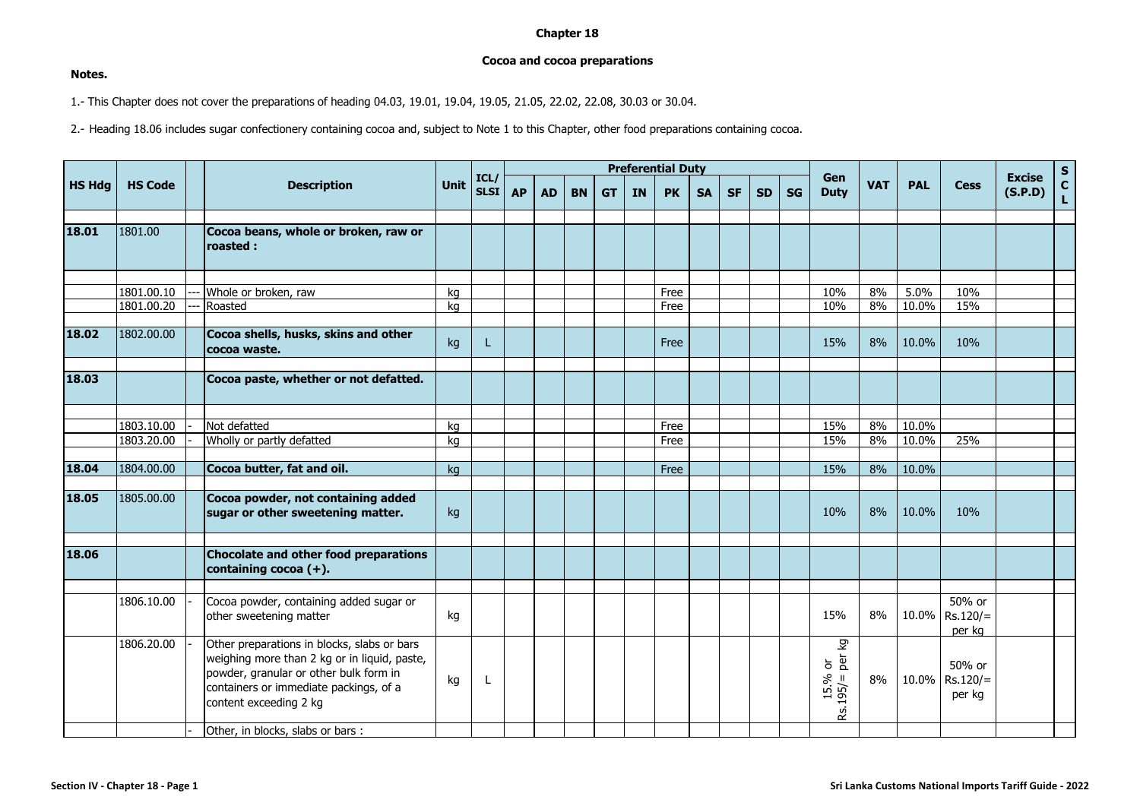## **Chapter 18**

## **Cocoa and cocoa preparations**

## **Notes.**

1.- This Chapter does not cover the preparations of heading 04.03, 19.01, 19.04, 19.05, 21.05, 22.02, 22.08, 30.03 or 30.04.

2.- Heading 18.06 includes sugar confectionery containing cocoa and, subject to Note 1 to this Chapter, other food preparations containing cocoa.

| <b>HS Hdg</b> | <b>HS Code</b> | <b>Description</b>                                                                                                                                                                                        | Unit | ICL/<br><b>SLSI</b> | <b>Preferential Duty</b> |           |           |           |    |           |           |           |           |           |                                    |            |            |                                |                          |               |
|---------------|----------------|-----------------------------------------------------------------------------------------------------------------------------------------------------------------------------------------------------------|------|---------------------|--------------------------|-----------|-----------|-----------|----|-----------|-----------|-----------|-----------|-----------|------------------------------------|------------|------------|--------------------------------|--------------------------|---------------|
|               |                |                                                                                                                                                                                                           |      |                     | <b>AP</b>                | <b>AD</b> | <b>BN</b> | <b>GT</b> | IN | <b>PK</b> | <b>SA</b> | <b>SF</b> | <b>SD</b> | <b>SG</b> | Gen<br><b>Duty</b>                 | <b>VAT</b> | <b>PAL</b> | <b>Cess</b>                    | <b>Excise</b><br>(S.P.D) | $S_{C}$<br>Ĺ. |
|               |                |                                                                                                                                                                                                           |      |                     |                          |           |           |           |    |           |           |           |           |           |                                    |            |            |                                |                          |               |
| 18.01         | 1801.00        | Cocoa beans, whole or broken, raw or<br>roasted :                                                                                                                                                         |      |                     |                          |           |           |           |    |           |           |           |           |           |                                    |            |            |                                |                          |               |
|               |                |                                                                                                                                                                                                           |      |                     |                          |           |           |           |    |           |           |           |           |           |                                    |            |            |                                |                          |               |
|               | 1801.00.10     | Whole or broken, raw                                                                                                                                                                                      | kq   |                     |                          |           |           |           |    | Free      |           |           |           |           | 10%                                | 8%         | 5.0%       | 10%                            |                          |               |
|               | 1801.00.20     | Roasted                                                                                                                                                                                                   | ka   |                     |                          |           |           |           |    | Free      |           |           |           |           | 10%                                | 8%         | 10.0%      | 15%                            |                          |               |
| 18.02         | 1802.00.00     | Cocoa shells, husks, skins and other<br>cocoa waste.                                                                                                                                                      | kg   | L                   |                          |           |           |           |    | Free      |           |           |           |           | 15%                                | 8%         | 10.0%      | 10%                            |                          |               |
| 18.03         |                | Cocoa paste, whether or not defatted.                                                                                                                                                                     |      |                     |                          |           |           |           |    |           |           |           |           |           |                                    |            |            |                                |                          |               |
|               |                |                                                                                                                                                                                                           |      |                     |                          |           |           |           |    |           |           |           |           |           |                                    |            |            |                                |                          |               |
|               | 1803.10.00     | Not defatted                                                                                                                                                                                              | kg   |                     |                          |           |           |           |    | Free      |           |           |           |           | 15%                                | 8%         | 10.0%      |                                |                          |               |
|               | 1803.20.00     | Wholly or partly defatted                                                                                                                                                                                 | ka   |                     |                          |           |           |           |    | Free      |           |           |           |           | 15%                                | 8%         | 10.0%      | 25%                            |                          |               |
|               |                |                                                                                                                                                                                                           |      |                     |                          |           |           |           |    |           |           |           |           |           |                                    |            |            |                                |                          |               |
| 18.04         | 1804.00.00     | Cocoa butter, fat and oil.                                                                                                                                                                                | kg   |                     |                          |           |           |           |    | Free      |           |           |           |           | 15%                                | 8%         | 10.0%      |                                |                          |               |
| 18.05         | 1805.00.00     | Cocoa powder, not containing added<br>sugar or other sweetening matter.                                                                                                                                   | kg   |                     |                          |           |           |           |    |           |           |           |           |           | 10%                                | 8%         | 10.0%      | 10%                            |                          |               |
| 18.06         |                | <b>Chocolate and other food preparations</b><br>containing cocoa (+).                                                                                                                                     |      |                     |                          |           |           |           |    |           |           |           |           |           |                                    |            |            |                                |                          |               |
|               |                |                                                                                                                                                                                                           |      |                     |                          |           |           |           |    |           |           |           |           |           |                                    |            |            |                                |                          |               |
|               | 1806.10.00     | Cocoa powder, containing added sugar or<br>other sweetening matter                                                                                                                                        | kg   |                     |                          |           |           |           |    |           |           |           |           |           | 15%                                | 8%         | 10.0%      | 50% or<br>$Rs.120/=$<br>per kg |                          |               |
|               | 1806.20.00     | Other preparations in blocks, slabs or bars<br>weighing more than 2 kg or in liquid, paste,<br>powder, granular or other bulk form in<br>containers or immediate packings, of a<br>content exceeding 2 kg | kg   | L                   |                          |           |           |           |    |           |           |           |           |           | δ<br>ර් මි<br>$15.%$<br>Rs.195/= I | 8%         | 10.0%      | 50% or<br>$Rs.120/=$<br>per kg |                          |               |
|               |                | Other, in blocks, slabs or bars :                                                                                                                                                                         |      |                     |                          |           |           |           |    |           |           |           |           |           |                                    |            |            |                                |                          |               |